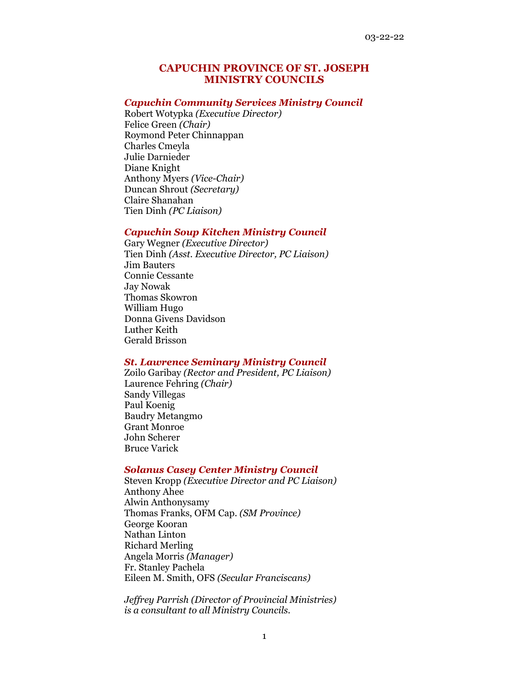# **CAPUCHIN PROVINCE OF ST. JOSEPH MINISTRY COUNCILS**

#### *Capuchin Community Services Ministry Council*

Robert Wotypka *(Executive Director)* Felice Green *(Chair)* Roymond Peter Chinnappan Charles Cmeyla Julie Darnieder Diane Knight Anthony Myers *(Vice-Chair)* Duncan Shrout *(Secretary)* Claire Shanahan Tien Dinh *(PC Liaison)*

# *Capuchin Soup Kitchen Ministry Council*

Gary Wegner *(Executive Director)* Tien Dinh *(Asst. Executive Director, PC Liaison)* Jim Bauters Connie Cessante Jay Nowak Thomas Skowron William Hugo Donna Givens Davidson Luther Keith Gerald Brisson

# *St. Lawrence Seminary Ministry Council*

Zoilo Garibay *(Rector and President, PC Liaison)* Laurence Fehring *(Chair)* Sandy Villegas Paul Koenig Baudry Metangmo Grant Monroe John Scherer Bruce Varick

### *Solanus Casey Center Ministry Council*

Steven Kropp *(Executive Director and PC Liaison)* Anthony Ahee Alwin Anthonysamy Thomas Franks, OFM Cap. *(SM Province)* George Kooran Nathan Linton Richard Merling Angela Morris *(Manager)* Fr. Stanley Pachela Eileen M. Smith, OFS *(Secular Franciscans)*

*Jeffrey Parrish (Director of Provincial Ministries) is a consultant to all Ministry Councils.*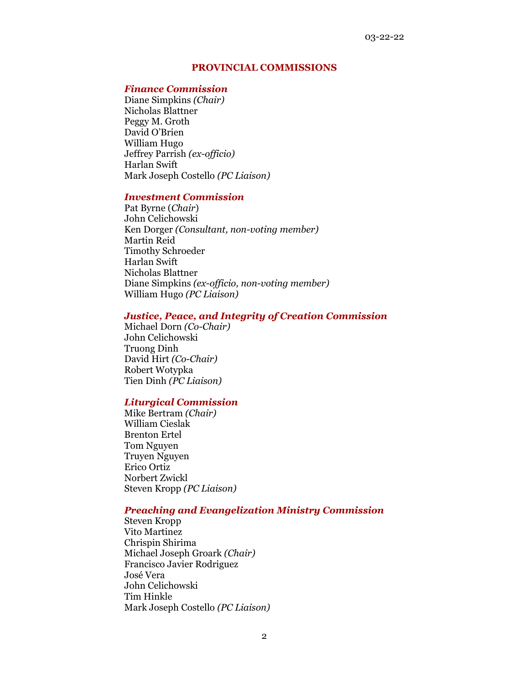### **PROVINCIAL COMMISSIONS**

#### *Finance Commission*

Diane Simpkins *(Chair)*  Nicholas Blattner Peggy M. Groth David O'Brien William Hugo Jeffrey Parrish *(ex-officio)* Harlan Swift Mark Joseph Costello *(PC Liaison)*

## *Investment Commission*

Pat Byrne (*Chair*) John Celichowski Ken Dorger *(Consultant, non-voting member)* Martin Reid Timothy Schroeder Harlan Swift Nicholas Blattner Diane Simpkins *(ex-officio, non-voting member)* William Hugo *(PC Liaison)*

### *Justice, Peace, and Integrity of Creation Commission*

Michael Dorn *(Co-Chair)* John Celichowski Truong Dinh David Hirt *(Co-Chair)* Robert Wotypka Tien Dinh *(PC Liaison)*

### *Liturgical Commission*

Mike Bertram *(Chair)* William Cieslak Brenton Ertel Tom Nguyen Truyen Nguyen Erico Ortiz Norbert Zwickl Steven Kropp *(PC Liaison)*

# *Preaching and Evangelization Ministry Commission*

Steven Kropp Vito Martinez Chrispin Shirima Michael Joseph Groark *(Chair)* Francisco Javier Rodriguez José Vera John Celichowski Tim Hinkle Mark Joseph Costello *(PC Liaison)*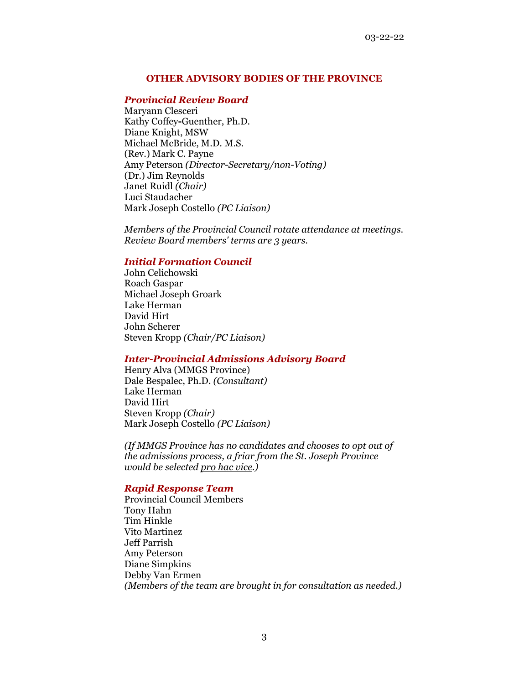# **OTHER ADVISORY BODIES OF THE PROVINCE**

# *Provincial Review Board*

Maryann Clesceri Kathy Coffey**-**Guenther, Ph.D. Diane Knight, MSW Michael McBride, M.D. M.S. (Rev.) Mark C. Payne Amy Peterson *(Director-Secretary/non-Voting)* (Dr.) Jim Reynolds Janet Ruidl *(Chair)* Luci Staudacher Mark Joseph Costello *(PC Liaison)*

*Members of the Provincial Council rotate attendance at meetings. Review Board members' terms are 3 years.*

## *Initial Formation Council*

John Celichowski Roach Gaspar Michael Joseph Groark Lake Herman David Hirt John Scherer Steven Kropp *(Chair/PC Liaison)*

# *Inter-Provincial Admissions Advisory Board*

Henry Alva (MMGS Province) Dale Bespalec, Ph.D. *(Consultant)* Lake Herman David Hirt Steven Kropp *(Chair)* Mark Joseph Costello *(PC Liaison)*

*(If MMGS Province has no candidates and chooses to opt out of the admissions process, a friar from the St. Joseph Province would be selected pro hac vice.)*

### *Rapid Response Team*

Provincial Council Members Tony Hahn Tim Hinkle Vito Martinez Jeff Parrish Amy Peterson Diane Simpkins Debby Van Ermen *(Members of the team are brought in for consultation as needed.)*